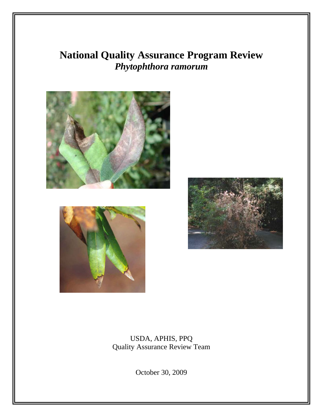# **National Quality Assurance Program Review**  *Phytophthora ramorum*







USDA, APHIS, PPQ Quality Assurance Review Team

October 30, 2009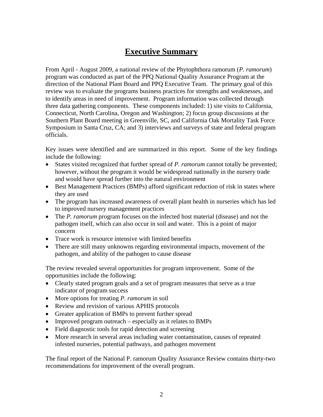# **Executive Summary**

From April - August 2009, a national review of the Phytophthora ramorum (*P. ramorum*) program was conducted as part of the PPQ National Quality Assurance Program at the direction of the National Plant Board and PPQ Executive Team. The primary goal of this review was to evaluate the programs business practices for strengths and weaknesses, and to identify areas in need of improvement. Program information was collected through three data gathering components. These components included: 1) site visits to California, Connecticut, North Carolina, Oregon and Washington; 2) focus group discussions at the Southern Plant Board meeting in Greenville, SC, and California Oak Mortality Task Force Symposium in Santa Cruz, CA; and 3) interviews and surveys of state and federal program officials.

Key issues were identified and are summarized in this report. Some of the key findings include the following:

- States visited recognized that further spread of *P. ramorum* cannot totally be prevented; however, without the program it would be widespread nationally in the nursery trade and would have spread further into the natural environment
- Best Management Practices (BMPs) afford significant reduction of risk in states where they are used
- The program has increased awareness of overall plant health in nurseries which has led to improved nursery management practices
- The *P. ramorum* program focuses on the infected host material (disease) and not the pathogen itself, which can also occur in soil and water. This is a point of major concern
- Trace work is resource intensive with limited benefits
- There are still many unknowns regarding environmental impacts, movement of the pathogen, and ability of the pathogen to cause disease

The review revealed several opportunities for program improvement. Some of the opportunities include the following:

- Clearly stated program goals and a set of program measures that serve as a true indicator of program success
- More options for treating *P. ramorum* in soil
- Review and revision of various APHIS protocols
- Greater application of BMPs to prevent further spread
- Improved program outreach especially as it relates to BMPs
- Field diagnostic tools for rapid detection and screening
- More research in several areas including water contamination, causes of repeated infested nurseries, potential pathways, and pathogen movement

The final report of the National P. ramorum Quality Assurance Review contains thirty-two recommendations for improvement of the overall program.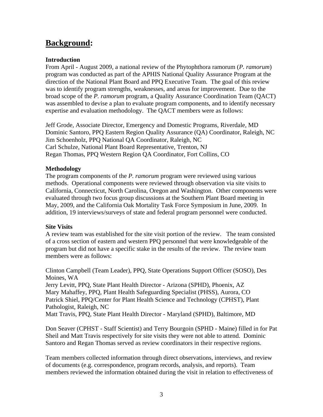# **Background:**

### **Introduction**

From April - August 2009, a national review of the Phytophthora ramorum (*P. ramorum*) program was conducted as part of the APHIS National Quality Assurance Program at the direction of the National Plant Board and PPQ Executive Team. The goal of this review was to identify program strengths, weaknesses, and areas for improvement. Due to the broad scope of the *P. ramorum* program, a Quality Assurance Coordination Team (QACT) was assembled to devise a plan to evaluate program components, and to identify necessary expertise and evaluation methodology. The QACT members were as follows:

Jeff Grode, Associate Director, Emergency and Domestic Programs, Riverdale, MD Dominic Santoro, PPQ Eastern Region Quality Assurance (QA) Coordinator, Raleigh, NC Jim Schoenholz, PPQ National QA Coordinator, Raleigh, NC Carl Schulze, National Plant Board Representative, Trenton, NJ Regan Thomas, PPQ Western Region QA Coordinator, Fort Collins, CO

### **Methodology**

The program components of the *P. ramorum* program were reviewed using various methods. Operational components were reviewed through observation via site visits to California, Connecticut, North Carolina, Oregon and Washington. Other components were evaluated through two focus group discussions at the Southern Plant Board meeting in May, 2009, and the California Oak Mortality Task Force Symposium in June, 2009. In addition, 19 interviews/surveys of state and federal program personnel were conducted.

### **Site Visits**

A review team was established for the site visit portion of the review. The team consisted of a cross section of eastern and western PPQ personnel that were knowledgeable of the program but did not have a specific stake in the results of the review. The review team members were as follows:

Clinton Campbell (Team Leader), PPQ, State Operations Support Officer (SOSO), Des Moines, WA

Jerry Levitt, PPQ, State Plant Health Director - Arizona (SPHD), Phoenix, AZ Mary Mahaffey, PPQ, Plant Health Safeguarding Specialist (PHSS), Aurora, CO Patrick Shiel, PPQ/Center for Plant Health Science and Technology (CPHST), Plant Pathologist, Raleigh, NC

Matt Travis, PPQ, State Plant Health Director - Maryland (SPHD), Baltimore, MD

Don Seaver (CPHST - Staff Scientist) and Terry Bourgoin (SPHD - Maine) filled in for Pat Sheil and Matt Travis respectively for site visits they were not able to attend. Dominic Santoro and Regan Thomas served as review coordinators in their respective regions.

Team members collected information through direct observations, interviews, and review of documents (e.g. correspondence, program records, analysis, and reports). Team members reviewed the information obtained during the visit in relation to effectiveness of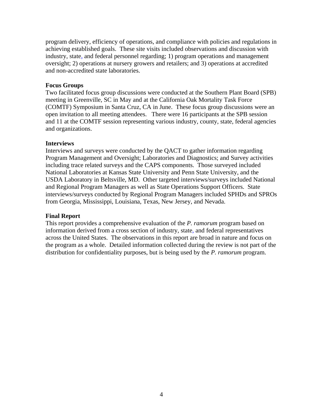program delivery, efficiency of operations, and compliance with policies and regulations in achieving established goals. These site visits included observations and discussion with industry, state, and federal personnel regarding; 1) program operations and management oversight; 2) operations at nursery growers and retailers; and 3) operations at accredited and non-accredited state laboratories.

#### **Focus Groups**

Two facilitated focus group discussions were conducted at the Southern Plant Board (SPB) meeting in Greenville, SC in May and at the California Oak Mortality Task Force (COMTF) Symposium in Santa Cruz, CA in June. These focus group discussions were an open invitation to all meeting attendees. There were 16 participants at the SPB session and 11 at the COMTF session representing various industry, county, state, federal agencies and organizations.

#### **Interviews**

Interviews and surveys were conducted by the QACT to gather information regarding Program Management and Oversight; Laboratories and Diagnostics; and Survey activities including trace related surveys and the CAPS components. Those surveyed included National Laboratories at Kansas State University and Penn State University, and the USDA Laboratory in Beltsville, MD. Other targeted interviews/surveys included National and Regional Program Managers as well as State Operations Support Officers. State interviews/surveys conducted by Regional Program Managers included SPHDs and SPROs from Georgia, Mississippi, Louisiana, Texas, New Jersey, and Nevada.

### **Final Report**

This report provides a comprehensive evaluation of the *P. ramorum* program based on information derived from a cross section of industry, state, and federal representatives across the United States. The observations in this report are broad in nature and focus on the program as a whole. Detailed information collected during the review is not part of the distribution for confidentiality purposes, but is being used by the *P. ramorum* program.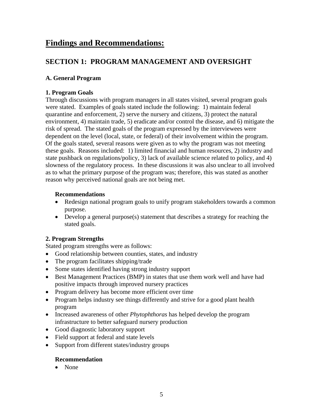# **Findings and Recommendations:**

# **SECTION 1: PROGRAM MANAGEMENT AND OVERSIGHT**

# **A. General Program**

# **1. Program Goals**

Through discussions with program managers in all states visited, several program goals were stated. Examples of goals stated include the following: 1) maintain federal quarantine and enforcement, 2) serve the nursery and citizens, 3) protect the natural environment, 4) maintain trade, 5) eradicate and/or control the disease, and 6) mitigate the risk of spread. The stated goals of the program expressed by the interviewees were dependent on the level (local, state, or federal) of their involvement within the program. Of the goals stated, several reasons were given as to why the program was not meeting these goals. Reasons included: 1) limited financial and human resources, 2) industry and state pushback on regulations/policy, 3) lack of available science related to policy, and 4) slowness of the regulatory process. In these discussions it was also unclear to all involved as to what the primary purpose of the program was; therefore, this was stated as another reason why perceived national goals are not being met.

# **Recommendations**

- Redesign national program goals to unify program stakeholders towards a common purpose.
- Develop a general purpose(s) statement that describes a strategy for reaching the stated goals.

# **2. Program Strengths**

Stated program strengths were as follows:

- Good relationship between counties, states, and industry
- The program facilitates shipping/trade
- Some states identified having strong industry support
- Best Management Practices (BMP) in states that use them work well and have had positive impacts through improved nursery practices
- Program delivery has become more efficient over time
- Program helps industry see things differently and strive for a good plant health program
- Increased awareness of other *Phytophthoras* has helped develop the program infrastructure to better safeguard nursery production
- Good diagnostic laboratory support
- Field support at federal and state levels
- Support from different states/industry groups

# **Recommendation**

• None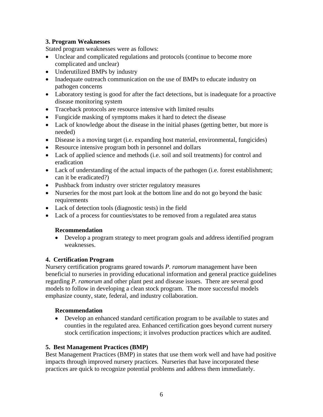### **3. Program Weaknesses**

Stated program weaknesses were as follows:

- Unclear and complicated regulations and protocols (continue to become more complicated and unclear)
- Underutilized BMPs by industry
- Inadequate outreach communication on the use of BMPs to educate industry on pathogen concerns
- Laboratory testing is good for after the fact detections, but is inadequate for a proactive disease monitoring system
- Traceback protocols are resource intensive with limited results
- Fungicide masking of symptoms makes it hard to detect the disease
- Lack of knowledge about the disease in the initial phases (getting better, but more is needed)
- Disease is a moving target (i.e. expanding host material, environmental, fungicides)
- Resource intensive program both in personnel and dollars
- Lack of applied science and methods (i.e. soil and soil treatments) for control and eradication
- Lack of understanding of the actual impacts of the pathogen (i.e. forest establishment; can it be eradicated?)
- Pushback from industry over stricter regulatory measures
- Nurseries for the most part look at the bottom line and do not go beyond the basic requirements
- Lack of detection tools (diagnostic tests) in the field
- Lack of a process for counties/states to be removed from a regulated area status

# **Recommendation**

 Develop a program strategy to meet program goals and address identified program weaknesses.

# **4. Certification Program**

Nursery certification programs geared towards *P. ramorum* management have been beneficial to nurseries in providing educational information and general practice guidelines regarding *P. ramorum* and other plant pest and disease issues. There are several good models to follow in developing a clean stock program. The more successful models emphasize county, state, federal, and industry collaboration.

### **Recommendation**

 Develop an enhanced standard certification program to be available to states and counties in the regulated area. Enhanced certification goes beyond current nursery stock certification inspections; it involves production practices which are audited.

### **5. Best Management Practices (BMP)**

Best Management Practices (BMP) in states that use them work well and have had positive impacts through improved nursery practices. Nurseries that have incorporated these practices are quick to recognize potential problems and address them immediately.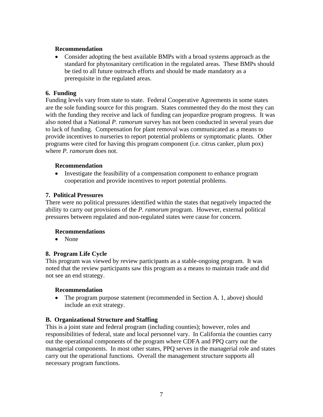### **Recommendation**

 Consider adopting the best available BMPs with a broad systems approach as the standard for phytosanitary certification in the regulated areas. These BMPs should be tied to all future outreach efforts and should be made mandatory as a prerequisite in the regulated areas.

### **6. Funding**

Funding levels vary from state to state. Federal Cooperative Agreements in some states are the sole funding source for this program. States commented they do the most they can with the funding they receive and lack of funding can jeopardize program progress. It was also noted that a National *P. ramorum* survey has not been conducted in several years due to lack of funding. Compensation for plant removal was communicated as a means to provide incentives to nurseries to report potential problems or symptomatic plants. Other programs were cited for having this program component (i.e. citrus canker, plum pox) where *P. ramorum* does not.

### **Recommendation**

 Investigate the feasibility of a compensation component to enhance program cooperation and provide incentives to report potential problems.

### **7. Political Pressures**

There were no political pressures identified within the states that negatively impacted the ability to carry out provisions of the *P. ramorum* program. However, external political pressures between regulated and non-regulated states were cause for concern.

### **Recommendations**

• None

### **8. Program Life Cycle**

This program was viewed by review participants as a stable-ongoing program. It was noted that the review participants saw this program as a means to maintain trade and did not see an end strategy.

### **Recommendation**

• The program purpose statement (recommended in Section A. 1, above) should include an exit strategy.

### **B. Organizational Structure and Staffing**

This is a joint state and federal program (including counties); however, roles and responsibilities of federal, state and local personnel vary. In California the counties carry out the operational components of the program where CDFA and PPQ carry out the managerial components. In most other states, PPQ serves in the managerial role and states carry out the operational functions. Overall the management structure supports all necessary program functions.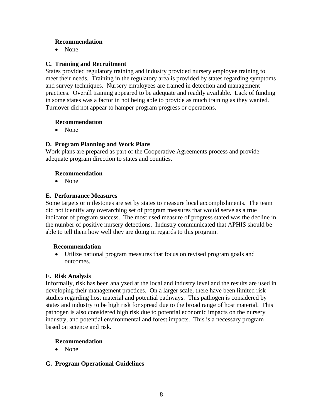### **Recommendation**

• None

### **C. Training and Recruitment**

States provided regulatory training and industry provided nursery employee training to meet their needs. Training in the regulatory area is provided by states regarding symptoms and survey techniques. Nursery employees are trained in detection and management practices. Overall training appeared to be adequate and readily available. Lack of funding in some states was a factor in not being able to provide as much training as they wanted. Turnover did not appear to hamper program progress or operations.

### **Recommendation**

None

### **D. Program Planning and Work Plans**

Work plans are prepared as part of the Cooperative Agreements process and provide adequate program direction to states and counties.

### **Recommendation**

None

### **E. Performance Measures**

Some targets or milestones are set by states to measure local accomplishments. The team did not identify any overarching set of program measures that would serve as a true indicator of program success. The most used measure of progress stated was the decline in the number of positive nursery detections. Industry communicated that APHIS should be able to tell them how well they are doing in regards to this program.

### **Recommendation**

 Utilize national program measures that focus on revised program goals and outcomes.

### **F. Risk Analysis**

Informally, risk has been analyzed at the local and industry level and the results are used in developing their management practices. On a larger scale, there have been limited risk studies regarding host material and potential pathways. This pathogen is considered by states and industry to be high risk for spread due to the broad range of host material. This pathogen is also considered high risk due to potential economic impacts on the nursery industry, and potential environmental and forest impacts. This is a necessary program based on science and risk.

### **Recommendation**

• None

### **G. Program Operational Guidelines**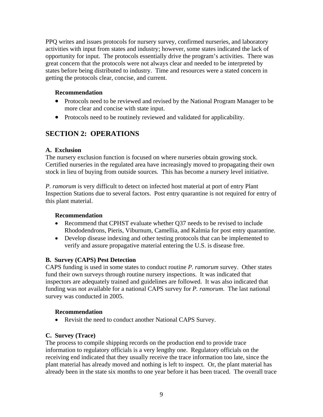PPQ writes and issues protocols for nursery survey, confirmed nurseries, and laboratory activities with input from states and industry; however, some states indicated the lack of opportunity for input. The protocols essentially drive the program's activities. There was great concern that the protocols were not always clear and needed to be interpreted by states before being distributed to industry. Time and resources were a stated concern in getting the protocols clear, concise, and current.

### **Recommendation**

- Protocols need to be reviewed and revised by the National Program Manager to be more clear and concise with state input.
- Protocols need to be routinely reviewed and validated for applicability.

# **SECTION 2: OPERATIONS**

### **A. Exclusion**

The nursery exclusion function is focused on where nurseries obtain growing stock. Certified nurseries in the regulated area have increasingly moved to propagating their own stock in lieu of buying from outside sources. This has become a nursery level initiative.

*P. ramorum* is very difficult to detect on infected host material at port of entry Plant Inspection Stations due to several factors. Post entry quarantine is not required for entry of this plant material.

### **Recommendation**

- Recommend that CPHST evaluate whether Q37 needs to be revised to include Rhododendrons, Pieris, Viburnum, Camellia, and Kalmia for post entry quarantine.
- Develop disease indexing and other testing protocols that can be implemented to verify and assure propagative material entering the U.S. is disease free.

### **B. Survey (CAPS) Pest Detection**

CAPS funding is used in some states to conduct routine *P. ramorum* survey. Other states fund their own surveys through routine nursery inspections. It was indicated that inspectors are adequately trained and guidelines are followed. It was also indicated that funding was not available for a national CAPS survey for *P. ramorum*. The last national survey was conducted in 2005.

# **Recommendation**

• Revisit the need to conduct another National CAPS Survey.

# **C. Survey (Trace)**

The process to compile shipping records on the production end to provide trace information to regulatory officials is a very lengthy one. Regulatory officials on the receiving end indicated that they usually receive the trace information too late, since the plant material has already moved and nothing is left to inspect. Or, the plant material has already been in the state six months to one year before it has been traced. The overall trace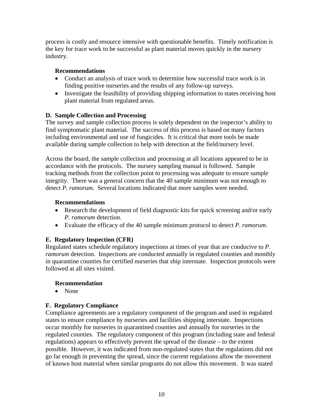process is costly and resource intensive with questionable benefits. Timely notification is the key for trace work to be successful as plant material moves quickly in the nursery industry.

### **Recommendations**

- Conduct an analysis of trace work to determine how successful trace work is in finding positive nurseries and the results of any follow-up surveys.
- Investigate the feasibility of providing shipping information to states receiving host plant material from regulated areas.

### **D. Sample Collection and Processing**

The survey and sample collection process is solely dependent on the inspector's ability to find symptomatic plant material. The success of this process is based on many factors including environmental and use of fungicides. It is critical that more tools be made available during sample collection to help with detection at the field/nursery level.

Across the board, the sample collection and processing at all locations appeared to be in accordance with the protocols. The nursery sampling manual is followed. Sample tracking methods from the collection point to processing was adequate to ensure sample integrity. There was a general concern that the 40 sample minimum was not enough to detect *P. ramorum*. Several locations indicated that more samples were needed.

### **Recommendations**

- Research the development of field diagnostic kits for quick screening and/or early *P. ramorum* detection.
- Evaluate the efficacy of the 40 sample minimum protocol to detect *P. ramorum*.

### **E. Regulatory Inspection (CFR)**

Regulated states schedule regulatory inspections at times of year that are conducive to *P. ramorum* detection. Inspections are conducted annually in regulated counties and monthly in quarantine counties for certified nurseries that ship interstate. Inspection protocols were followed at all sites visited.

### **Recommendation**

• None

### **F. Regulatory Compliance**

Compliance agreements are a regulatory component of the program and used in regulated states to ensure compliance by nurseries and facilities shipping interstate. Inspections occur monthly for nurseries in quarantined counties and annually for nurseries in the regulated counties. The regulatory component of this program (including state and federal regulations) appears to effectively prevent the spread of the disease – to the extent possible. However, it was indicated from non-regulated states that the regulations did not go far enough in preventing the spread, since the current regulations allow the movement of known host material when similar programs do not allow this movement. It was stated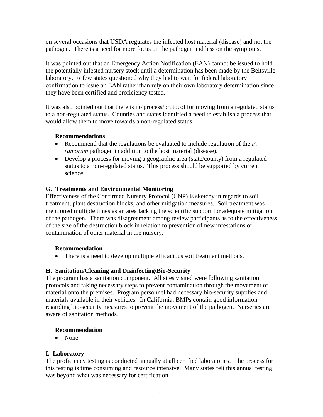on several occasions that USDA regulates the infected host material (disease) and not the pathogen. There is a need for more focus on the pathogen and less on the symptoms.

It was pointed out that an Emergency Action Notification (EAN) cannot be issued to hold the potentially infested nursery stock until a determination has been made by the Beltsville laboratory. A few states questioned why they had to wait for federal laboratory confirmation to issue an EAN rather than rely on their own laboratory determination since they have been certified and proficiency tested.

It was also pointed out that there is no process/protocol for moving from a regulated status to a non-regulated status. Counties and states identified a need to establish a process that would allow them to move towards a non-regulated status.

### **Recommendations**

- Recommend that the regulations be evaluated to include regulation of the *P. ramorum* pathogen in addition to the host material (disease).
- Develop a process for moving a geographic area (state/county) from a regulated status to a non-regulated status. This process should be supported by current science.

### **G. Treatments and Environmental Monitoring**

Effectiveness of the Confirmed Nursery Protocol (CNP) is sketchy in regards to soil treatment, plant destruction blocks, and other mitigation measures. Soil treatment was mentioned multiple times as an area lacking the scientific support for adequate mitigation of the pathogen. There was disagreement among review participants as to the effectiveness of the size of the destruction block in relation to prevention of new infestations or contamination of other material in the nursery.

### **Recommendation**

• There is a need to develop multiple efficacious soil treatment methods.

### **H. Sanitation/Cleaning and Disinfecting/Bio-Security**

The program has a sanitation component. All sites visited were following sanitation protocols and taking necessary steps to prevent contamination through the movement of material onto the premises. Program personnel had necessary bio-security supplies and materials available in their vehicles. In California, BMPs contain good information regarding bio-security measures to prevent the movement of the pathogen. Nurseries are aware of sanitation methods.

### **Recommendation**

• None

### **I. Laboratory**

The proficiency testing is conducted annually at all certified laboratories. The process for this testing is time consuming and resource intensive. Many states felt this annual testing was beyond what was necessary for certification.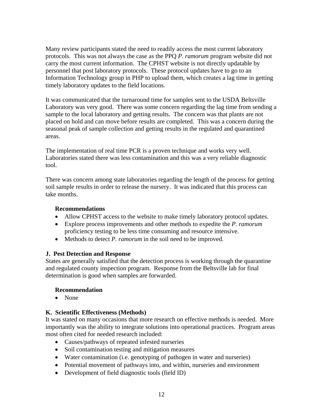Many review participants stated the need to readily access the most current laboratory protocols. This was not always the case as the PPQ *P. ramorum* program website did not carry the most current information. The CPHST website is not directly updatable by personnel that post laboratory protocols. These protocol updates have to go to an Information Technology group in PHP to upload them, which creates a lag time in getting timely laboratory updates to the field locations.

It was communicated that the turnaround time for samples sent to the USDA Beltsville Laboratory was very good. There was some concern regarding the lag time from sending a sample to the local laboratory and getting results. The concern was that plants are not placed on hold and can move before results are completed. This was a concern during the seasonal peak of sample collection and getting results in the regulated and quarantined areas.

The implementation of real time PCR is a proven technique and works very well. Laboratories stated there was less contamination and this was a very reliable diagnostic tool.

There was concern among state laboratories regarding the length of the process for getting soil sample results in order to release the nursery. It was indicated that this process can take months.

### **Recommendations**

- Allow CPHST access to the website to make timely laboratory protocol updates.
- Explore process improvements and other methods to expedite the *P. ramorum* proficiency testing to be less time consuming and resource intensive.
- Methods to detect *P. ramorum* in the soil need to be improved.

### **J. Pest Detection and Response**

States are generally satisfied that the detection process is working through the quarantine and regulated county inspection program. Response from the Beltsville lab for final determination is good when samples are forwarded.

### **Recommendation**

• None

### **K. Scientific Effectiveness (Methods)**

It was stated on many occasions that more research on effective methods is needed. More importantly was the ability to integrate solutions into operational practices. Program areas most often cited for needed research included:

- Causes/pathways of repeated infested nurseries
- Soil contamination testing and mitigation measures
- Water contamination (i.e. genotyping of pathogen in water and nurseries)
- Potential movement of pathways into, and within, nurseries and environment
- Development of field diagnostic tools (field ID)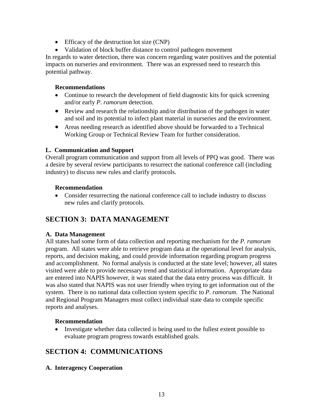- Efficacy of the destruction lot size (CNP)
- Validation of block buffer distance to control pathogen movement

In regards to water detection, there was concern regarding water positives and the potential impacts on nurseries and environment. There was an expressed need to research this potential pathway.

### **Recommendations**

- Continue to research the development of field diagnostic kits for quick screening and/or early *P. ramorum* detection.
- Review and research the relationship and/or distribution of the pathogen in water and soil and its potential to infect plant material in nurseries and the environment.
- Areas needing research as identified above should be forwarded to a Technical Working Group or Technical Review Team for further consideration.

### **L. Communication and Support**

Overall program communication and support from all levels of PPQ was good. There was a desire by several review participants to resurrect the national conference call (including industry) to discuss new rules and clarify protocols.

### **Recommendation**

 Consider resurrecting the national conference call to include industry to discuss new rules and clarify protocols.

# **SECTION 3: DATA MANAGEMENT**

### **A. Data Management**

All states had some form of data collection and reporting mechanism for the *P. ramorum* program. All states were able to retrieve program data at the operational level for analysis, reports, and decision making, and could provide information regarding program progress and accomplishment. No formal analysis is conducted at the state level; however, all states visited were able to provide necessary trend and statistical information. Appropriate data are entered into NAPIS however, it was stated that the data entry process was difficult. It was also stated that NAPIS was not user friendly when trying to get information out of the system. There is no national data collection system specific to *P. ramorum*. The National and Regional Program Managers must collect individual state data to compile specific reports and analyses.

### **Recommendation**

 Investigate whether data collected is being used to the fullest extent possible to evaluate program progress towards established goals.

# **SECTION 4: COMMUNICATIONS**

**A. Interagency Cooperation**